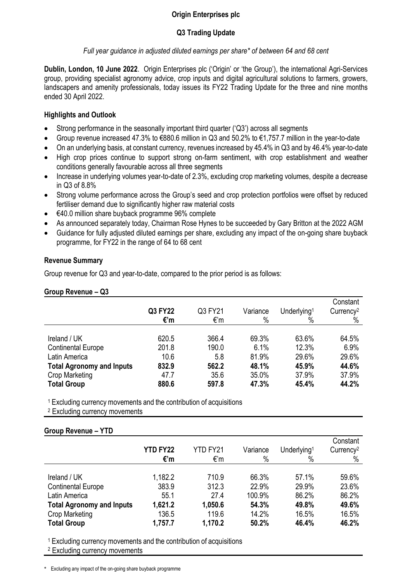### **Origin Enterprises plc**

# **Q3 Trading Update**

#### *Full year guidance in adjusted diluted earnings per share\* of between 64 and 68 cent*

**Dublin, London, 10 June 2022**. Origin Enterprises plc ('Origin' or 'the Group'), the international Agri-Services group, providing specialist agronomy advice, crop inputs and digital agricultural solutions to farmers, growers, landscapers and amenity professionals, today issues its FY22 Trading Update for the three and nine months ended 30 April 2022.

### **Highlights and Outlook**

- Strong performance in the seasonally important third quarter ('Q3') across all segments
- Group revenue increased 47.3% to €880.6 million in Q3 and 50.2% to €1,757.7 million in the year-to-date
- On an underlying basis, at constant currency, revenues increased by 45.4% in Q3 and by 46.4% year-to-date
- High crop prices continue to support strong on-farm sentiment, with crop establishment and weather conditions generally favourable across all three segments
- Increase in underlying volumes year-to-date of 2.3%, excluding crop marketing volumes, despite a decrease in Q3 of 8.8%
- Strong volume performance across the Group's seed and crop protection portfolios were offset by reduced fertiliser demand due to significantly higher raw material costs
- €40.0 million share buyback programme 96% complete
- As announced separately today, Chairman Rose Hynes to be succeeded by Gary Britton at the 2022 AGM
- Guidance for fully adjusted diluted earnings per share, excluding any impact of the on-going share buyback programme, for FY22 in the range of 64 to 68 cent

### **Revenue Summary**

Group revenue for Q3 and year-to-date, compared to the prior period is as follows:

#### **Group Revenue – Q3**

|                                  | Q3 FY22<br>€'m | Q3 FY21<br>€'m | Variance<br>$\%$ | Underlying <sup>1</sup><br>$\%$ | Constant<br>Currency <sup>2</sup><br>$\%$ |
|----------------------------------|----------------|----------------|------------------|---------------------------------|-------------------------------------------|
|                                  |                |                |                  |                                 |                                           |
| Ireland / UK                     | 620.5          | 366.4          | 69.3%            | 63.6%                           | 64.5%                                     |
| <b>Continental Europe</b>        | 201.8          | 190.0          | 6.1%             | 12.3%                           | 6.9%                                      |
| Latin America                    | 10.6           | 5.8            | 81.9%            | 29.6%                           | 29.6%                                     |
| <b>Total Agronomy and Inputs</b> | 832.9          | 562.2          | 48.1%            | 45.9%                           | 44.6%                                     |
| Crop Marketing                   | 47.7           | 35.6           | 35.0%            | 37.9%                           | 37.9%                                     |
| <b>Total Group</b>               | 880.6          | 597.8          | 47.3%            | 45.4%                           | 44.2%                                     |

<sup>1</sup> Excluding currency movements and the contribution of acquisitions

<sup>2</sup> Excluding currency movements

### **Group Revenue – YTD**

|                                           | <b>YTD FY22</b><br>€'m | YTD FY21<br>€'n | Variance<br>$\%$ | Underlying <sup>1</sup><br>$\%$ | Constant<br>Currency <sup>2</sup><br>% |
|-------------------------------------------|------------------------|-----------------|------------------|---------------------------------|----------------------------------------|
| Ireland / UK<br><b>Continental Europe</b> | 1,182.2<br>383.9       | 710.9<br>312.3  | 66.3%<br>22.9%   | 57.1%<br>29.9%                  | 59.6%<br>23.6%                         |
| Latin America                             | 55.1                   | 27.4            | 100.9%           | 86.2%                           | 86.2%                                  |
| <b>Total Agronomy and Inputs</b>          | 1,621.2                | 1,050.6         | 54.3%            | 49.8%                           | 49.6%                                  |
| Crop Marketing                            | 136.5                  | 119.6           | 14.2%            | 16.5%                           | 16.5%                                  |
| <b>Total Group</b>                        | 1,757.7                | 1,170.2         | 50.2%            | 46.4%                           | 46.2%                                  |

<sup>1</sup> Excluding currency movements and the contribution of acquisitions

<sup>2</sup> Excluding currency movements

\* Excluding any impact of the on-going share buyback programme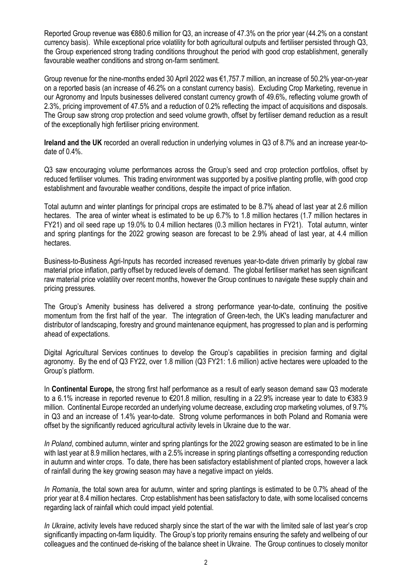Reported Group revenue was €880.6 million for Q3, an increase of 47.3% on the prior year (44.2% on a constant currency basis). While exceptional price volatility for both agricultural outputs and fertiliser persisted through Q3, the Group experienced strong trading conditions throughout the period with good crop establishment, generally favourable weather conditions and strong on-farm sentiment.

Group revenue for the nine-months ended 30 April 2022 was €1,757.7 million, an increase of 50.2% year-on-year on a reported basis (an increase of 46.2% on a constant currency basis). Excluding Crop Marketing, revenue in our Agronomy and Inputs businesses delivered constant currency growth of 49.6%, reflecting volume growth of 2.3%, pricing improvement of 47.5% and a reduction of 0.2% reflecting the impact of acquisitions and disposals. The Group saw strong crop protection and seed volume growth, offset by fertiliser demand reduction as a result of the exceptionally high fertiliser pricing environment.

**Ireland and the UK** recorded an overall reduction in underlying volumes in Q3 of 8.7% and an increase year-todate of 0.4%.

Q3 saw encouraging volume performances across the Group's seed and crop protection portfolios, offset by reduced fertiliser volumes. This trading environment was supported by a positive planting profile, with good crop establishment and favourable weather conditions, despite the impact of price inflation.

Total autumn and winter plantings for principal crops are estimated to be 8.7% ahead of last year at 2.6 million hectares. The area of winter wheat is estimated to be up 6.7% to 1.8 million hectares (1.7 million hectares in FY21) and oil seed rape up 19.0% to 0.4 million hectares (0.3 million hectares in FY21). Total autumn, winter and spring plantings for the 2022 growing season are forecast to be 2.9% ahead of last year, at 4.4 million hectares.

Business-to-Business Agri-Inputs has recorded increased revenues year-to-date driven primarily by global raw material price inflation, partly offset by reduced levels of demand. The global fertiliser market has seen significant raw material price volatility over recent months, however the Group continues to navigate these supply chain and pricing pressures.

The Group's Amenity business has delivered a strong performance year-to-date, continuing the positive momentum from the first half of the year. The integration of Green-tech, the UK's leading manufacturer and distributor of landscaping, forestry and ground maintenance equipment, has progressed to plan and is performing ahead of expectations.

Digital Agricultural Services continues to develop the Group's capabilities in precision farming and digital agronomy. By the end of Q3 FY22, over 1.8 million (Q3 FY21: 1.6 million) active hectares were uploaded to the Group's platform.

In **Continental Europe,** the strong first half performance as a result of early season demand saw Q3 moderate to a 6.1% increase in reported revenue to €201.8 million, resulting in a 22.9% increase year to date to €383.9 million. Continental Europe recorded an underlying volume decrease, excluding crop marketing volumes, of 9.7% in Q3 and an increase of 1.4% year-to-date. Strong volume performances in both Poland and Romania were offset by the significantly reduced agricultural activity levels in Ukraine due to the war.

*In Poland*, combined autumn, winter and spring plantings for the 2022 growing season are estimated to be in line with last year at 8.9 million hectares, with a 2.5% increase in spring plantings offsetting a corresponding reduction in autumn and winter crops. To date, there has been satisfactory establishment of planted crops, however a lack of rainfall during the key growing season may have a negative impact on yields.

*In Romania*, the total sown area for autumn, winter and spring plantings is estimated to be 0.7% ahead of the prior year at 8.4 million hectares. Crop establishment has been satisfactory to date, with some localised concerns regarding lack of rainfall which could impact yield potential.

*In Ukraine*, activity levels have reduced sharply since the start of the war with the limited sale of last year's crop significantly impacting on-farm liquidity. The Group's top priority remains ensuring the safety and wellbeing of our colleagues and the continued de-risking of the balance sheet in Ukraine. The Group continues to closely monitor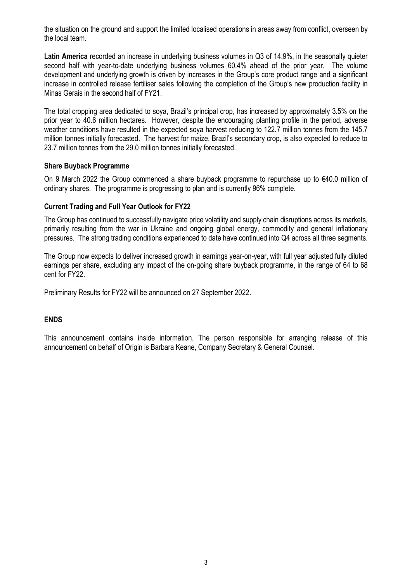the situation on the ground and support the limited localised operations in areas away from conflict, overseen by the local team.

**Latin America** recorded an increase in underlying business volumes in Q3 of 14.9%, in the seasonally quieter second half with year-to-date underlying business volumes 60.4% ahead of the prior year. The volume development and underlying growth is driven by increases in the Group's core product range and a significant increase in controlled release fertiliser sales following the completion of the Group's new production facility in Minas Gerais in the second half of FY21.

The total cropping area dedicated to soya, Brazil's principal crop, has increased by approximately 3.5% on the prior year to 40.6 million hectares. However, despite the encouraging planting profile in the period, adverse weather conditions have resulted in the expected soya harvest reducing to 122.7 million tonnes from the 145.7 million tonnes initially forecasted. The harvest for maize, Brazil's secondary crop, is also expected to reduce to 23.7 million tonnes from the 29.0 million tonnes initially forecasted.

### **Share Buyback Programme**

On 9 March 2022 the Group commenced a share buyback programme to repurchase up to  $\epsilon$ 40.0 million of ordinary shares. The programme is progressing to plan and is currently 96% complete.

### **Current Trading and Full Year Outlook for FY22**

The Group has continued to successfully navigate price volatility and supply chain disruptions across its markets, primarily resulting from the war in Ukraine and ongoing global energy, commodity and general inflationary pressures. The strong trading conditions experienced to date have continued into Q4 across all three segments.

The Group now expects to deliver increased growth in earnings year-on-year, with full year adjusted fully diluted earnings per share, excluding any impact of the on-going share buyback programme, in the range of 64 to 68 cent for FY22.

Preliminary Results for FY22 will be announced on 27 September 2022.

# **ENDS**

This announcement contains inside information. The person responsible for arranging release of this announcement on behalf of Origin is Barbara Keane, Company Secretary & General Counsel.